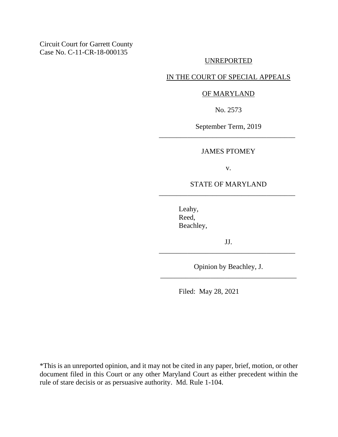Circuit Court for Garrett County Case No. C-11-CR-18-000135

#### UNREPORTED

## IN THE COURT OF SPECIAL APPEALS

#### OF MARYLAND

No. 2573

September Term, 2019 \_\_\_\_\_\_\_\_\_\_\_\_\_\_\_\_\_\_\_\_\_\_\_\_\_\_\_\_\_\_\_\_\_\_\_\_\_\_

#### JAMES PTOMEY

v.

### STATE OF MARYLAND \_\_\_\_\_\_\_\_\_\_\_\_\_\_\_\_\_\_\_\_\_\_\_\_\_\_\_\_\_\_\_\_\_\_\_\_\_\_

Leahy, Reed, Beachley,

JJ. \_\_\_\_\_\_\_\_\_\_\_\_\_\_\_\_\_\_\_\_\_\_\_\_\_\_\_\_\_\_\_\_\_\_\_\_\_\_

Opinion by Beachley, J. \_\_\_\_\_\_\_\_\_\_\_\_\_\_\_\_\_\_\_\_\_\_\_\_\_\_\_\_\_\_\_\_\_\_\_\_\_\_

Filed: May 28, 2021

\*This is an unreported opinion, and it may not be cited in any paper, brief, motion, or other document filed in this Court or any other Maryland Court as either precedent within the rule of stare decisis or as persuasive authority. Md. Rule 1-104.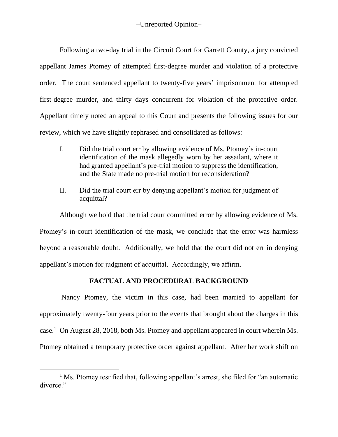Following a two-day trial in the Circuit Court for Garrett County, a jury convicted appellant James Ptomey of attempted first-degree murder and violation of a protective order. The court sentenced appellant to twenty-five years' imprisonment for attempted first-degree murder, and thirty days concurrent for violation of the protective order. Appellant timely noted an appeal to this Court and presents the following issues for our review, which we have slightly rephrased and consolidated as follows:

- I. Did the trial court err by allowing evidence of Ms. Ptomey's in-court identification of the mask allegedly worn by her assailant, where it had granted appellant's pre-trial motion to suppress the identification, and the State made no pre-trial motion for reconsideration?
- II. Did the trial court err by denying appellant's motion for judgment of acquittal?

Although we hold that the trial court committed error by allowing evidence of Ms. Ptomey's in-court identification of the mask, we conclude that the error was harmless beyond a reasonable doubt. Additionally, we hold that the court did not err in denying appellant's motion for judgment of acquittal. Accordingly, we affirm.

# **FACTUAL AND PROCEDURAL BACKGROUND**

Nancy Ptomey, the victim in this case, had been married to appellant for approximately twenty-four years prior to the events that brought about the charges in this case. 1 On August 28, 2018, both Ms. Ptomey and appellant appeared in court wherein Ms. Ptomey obtained a temporary protective order against appellant. After her work shift on

<sup>&</sup>lt;sup>1</sup> Ms. Ptomey testified that, following appellant's arrest, she filed for "an automatic divorce."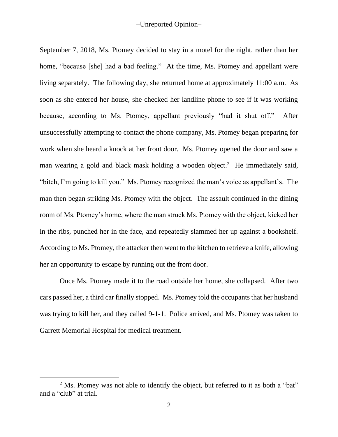September 7, 2018, Ms. Ptomey decided to stay in a motel for the night, rather than her home, "because [she] had a bad feeling." At the time, Ms. Ptomey and appellant were living separately. The following day, she returned home at approximately 11:00 a.m. As soon as she entered her house, she checked her landline phone to see if it was working because, according to Ms. Ptomey, appellant previously "had it shut off." After unsuccessfully attempting to contact the phone company, Ms. Ptomey began preparing for work when she heard a knock at her front door. Ms. Ptomey opened the door and saw a man wearing a gold and black mask holding a wooden object.<sup>2</sup> He immediately said, "bitch, I'm going to kill you." Ms. Ptomey recognized the man's voice as appellant's. The man then began striking Ms. Ptomey with the object. The assault continued in the dining room of Ms. Ptomey's home, where the man struck Ms. Ptomey with the object, kicked her in the ribs, punched her in the face, and repeatedly slammed her up against a bookshelf. According to Ms. Ptomey, the attacker then went to the kitchen to retrieve a knife, allowing her an opportunity to escape by running out the front door.

Once Ms. Ptomey made it to the road outside her home, she collapsed. After two cars passed her, a third car finally stopped. Ms. Ptomey told the occupants that her husband was trying to kill her, and they called 9-1-1. Police arrived, and Ms. Ptomey was taken to Garrett Memorial Hospital for medical treatment.

<sup>&</sup>lt;sup>2</sup> Ms. Ptomey was not able to identify the object, but referred to it as both a "bat" and a "club" at trial.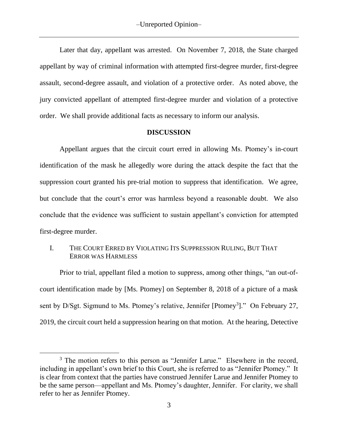Later that day, appellant was arrested. On November 7, 2018, the State charged appellant by way of criminal information with attempted first-degree murder, first-degree assault, second-degree assault, and violation of a protective order. As noted above, the jury convicted appellant of attempted first-degree murder and violation of a protective order. We shall provide additional facts as necessary to inform our analysis.

### **DISCUSSION**

Appellant argues that the circuit court erred in allowing Ms. Ptomey's in-court identification of the mask he allegedly wore during the attack despite the fact that the suppression court granted his pre-trial motion to suppress that identification. We agree, but conclude that the court's error was harmless beyond a reasonable doubt. We also conclude that the evidence was sufficient to sustain appellant's conviction for attempted first-degree murder.

# I. THE COURT ERRED BY VIOLATING ITS SUPPRESSION RULING, BUT THAT ERROR WAS HARMLESS

Prior to trial, appellant filed a motion to suppress, among other things, "an out-ofcourt identification made by [Ms. Ptomey] on September 8, 2018 of a picture of a mask sent by D/Sgt. Sigmund to Ms. Ptomey's relative, Jennifer [Ptomey<sup>3</sup>]." On February 27, 2019, the circuit court held a suppression hearing on that motion. At the hearing, Detective

<sup>&</sup>lt;sup>3</sup> The motion refers to this person as "Jennifer Larue." Elsewhere in the record, including in appellant's own brief to this Court, she is referred to as "Jennifer Ptomey." It is clear from context that the parties have construed Jennifer Larue and Jennifer Ptomey to be the same person—appellant and Ms. Ptomey's daughter, Jennifer. For clarity, we shall refer to her as Jennifer Ptomey.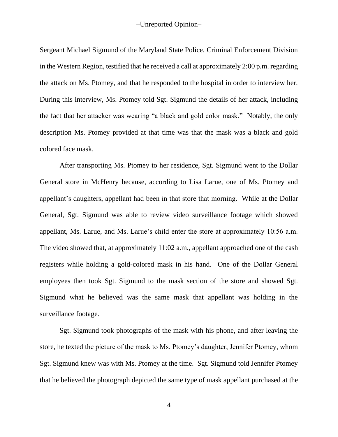Sergeant Michael Sigmund of the Maryland State Police, Criminal Enforcement Division in the Western Region, testified that he received a call at approximately 2:00 p.m. regarding the attack on Ms. Ptomey, and that he responded to the hospital in order to interview her. During this interview, Ms. Ptomey told Sgt. Sigmund the details of her attack, including the fact that her attacker was wearing "a black and gold color mask." Notably, the only description Ms. Ptomey provided at that time was that the mask was a black and gold colored face mask.

After transporting Ms. Ptomey to her residence, Sgt. Sigmund went to the Dollar General store in McHenry because, according to Lisa Larue, one of Ms. Ptomey and appellant's daughters, appellant had been in that store that morning. While at the Dollar General, Sgt. Sigmund was able to review video surveillance footage which showed appellant, Ms. Larue, and Ms. Larue's child enter the store at approximately 10:56 a.m. The video showed that, at approximately 11:02 a.m., appellant approached one of the cash registers while holding a gold-colored mask in his hand. One of the Dollar General employees then took Sgt. Sigmund to the mask section of the store and showed Sgt. Sigmund what he believed was the same mask that appellant was holding in the surveillance footage.

Sgt. Sigmund took photographs of the mask with his phone, and after leaving the store, he texted the picture of the mask to Ms. Ptomey's daughter, Jennifer Ptomey, whom Sgt. Sigmund knew was with Ms. Ptomey at the time. Sgt. Sigmund told Jennifer Ptomey that he believed the photograph depicted the same type of mask appellant purchased at the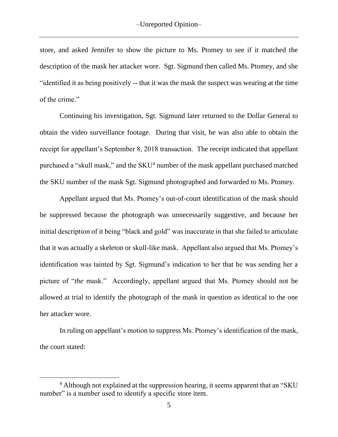store, and asked Jennifer to show the picture to Ms. Ptomey to see if it matched the description of the mask her attacker wore. Sgt. Sigmund then called Ms. Ptomey, and she "identified it as being positively -- that it was the mask the suspect was wearing at the time of the crime."

Continuing his investigation, Sgt. Sigmund later returned to the Dollar General to obtain the video surveillance footage. During that visit, he was also able to obtain the receipt for appellant's September 8, 2018 transaction. The receipt indicated that appellant purchased a "skull mask," and the SKU<sup>4</sup> number of the mask appellant purchased matched the SKU number of the mask Sgt. Sigmund photographed and forwarded to Ms. Ptomey.

Appellant argued that Ms. Ptomey's out-of-court identification of the mask should be suppressed because the photograph was unnecessarily suggestive, and because her initial description of it being "black and gold" was inaccurate in that she failed to articulate that it was actually a skeleton or skull-like mask. Appellant also argued that Ms. Ptomey's identification was tainted by Sgt. Sigmund's indication to her that he was sending her a picture of "*the* mask." Accordingly, appellant argued that Ms. Ptomey should not be allowed at trial to identify the photograph of the mask in question as identical to the one her attacker wore.

In ruling on appellant's motion to suppress Ms. Ptomey's identification of the mask, the court stated:

<sup>&</sup>lt;sup>4</sup> Although not explained at the suppression hearing, it seems apparent that an "SKU" number" is a number used to identify a specific store item.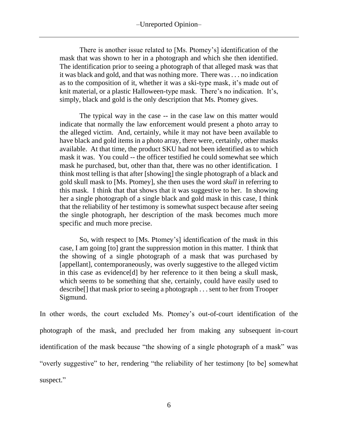# –Unreported Opinion–

There is another issue related to [Ms. Ptomey's] identification of the mask that was shown to her in a photograph and which she then identified. The identification prior to seeing a photograph of that alleged mask was that it was black and gold, and that was nothing more. There was . . . no indication as to the composition of it, whether it was a ski-type mask, it's made out of knit material, or a plastic Halloween-type mask. There's no indication. It's, simply, black and gold is the only description that Ms. Ptomey gives.

The typical way in the case -- in the case law on this matter would indicate that normally the law enforcement would present a photo array to the alleged victim. And, certainly, while it may not have been available to have black and gold items in a photo array, there were, certainly, other masks available. At that time, the product SKU had not been identified as to which mask it was. You could -- the officer testified he could somewhat see which mask he purchased, but, other than that, there was no other identification. I think most telling is that after [showing] the single photograph of a black and gold skull mask to [Ms. Ptomey], she then uses the word *skull* in referring to this mask. I think that that shows that it was suggestive to her. In showing her a single photograph of a single black and gold mask in this case, I think that the reliability of her testimony is somewhat suspect because after seeing the single photograph, her description of the mask becomes much more specific and much more precise.

So, with respect to [Ms. Ptomey's] identification of the mask in this case, I am going [to] grant the suppression motion in this matter. I think that the showing of a single photograph of a mask that was purchased by [appellant], contemporaneously, was overly suggestive to the alleged victim in this case as evidence[d] by her reference to it then being a skull mask, which seems to be something that she, certainly, could have easily used to describe[] that mask prior to seeing a photograph . . . sent to her from Trooper Sigmund.

In other words, the court excluded Ms. Ptomey's out-of-court identification of the photograph of the mask, and precluded her from making any subsequent in-court identification of the mask because "the showing of a single photograph of a mask" was "overly suggestive" to her, rendering "the reliability of her testimony [to be] somewhat suspect."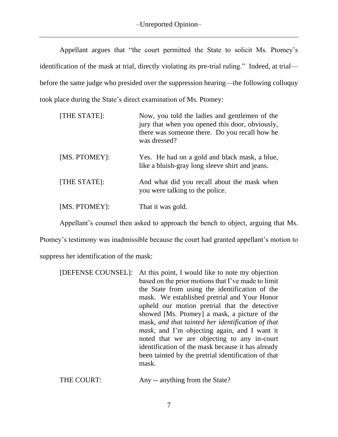Appellant argues that "the court permitted the State to solicit Ms. Ptomey's identification of the mask at trial, directly violating its pre-trial ruling." Indeed, at trial before the same judge who presided over the suppression hearing—the following colloquy took place during the State's direct examination of Ms. Ptomey:

| [THE STATE]:  | Now, you told the ladies and gentlemen of the<br>jury that when you opened this door, obviously,<br>there was someone there. Do you recall how he<br>was dressed? |
|---------------|-------------------------------------------------------------------------------------------------------------------------------------------------------------------|
| [MS. PTOMEY]: | Yes. He had on a gold and black mask, a blue,<br>like a bluish-gray long sleeve shirt and jeans.                                                                  |
| [THE STATE]:  | And what did you recall about the mask when<br>you were talking to the police.                                                                                    |
| [MS. PTOMEY]: | That it was gold.                                                                                                                                                 |

Appellant's counsel then asked to approach the bench to object, arguing that Ms.

Ptomey's testimony was inadmissible because the court had granted appellant's motion to

suppress her identification of the mask:

| [DEFENSE COUNSEL]: | At this point, I would like to note my objection     |
|--------------------|------------------------------------------------------|
|                    | based on the prior motions that I've made to limit   |
|                    | the State from using the identification of the       |
|                    | mask. We established pretrial and Your Honor         |
|                    | upheld our motion pretrial that the detective        |
|                    | showed [Ms. Ptomey] a mask, a picture of the         |
|                    | mask, and that tainted her identification of that    |
|                    | <i>mask</i> , and I'm objecting again, and I want it |
|                    | noted that we are objecting to any in-court          |
|                    | identification of the mask because it has already    |
|                    | been tainted by the pretrial identification of that  |
|                    | mask.                                                |
|                    |                                                      |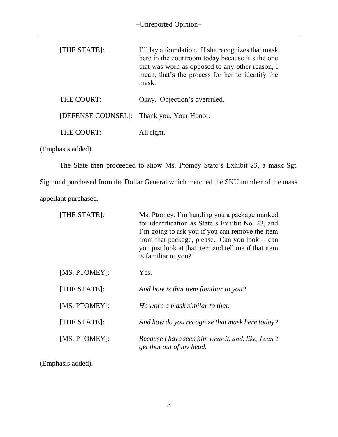| [THE STATE]:                              | I'll lay a foundation. If she recognizes that mask<br>here in the courtroom today because it's the one<br>that was worn as opposed to any other reason, I<br>mean, that's the process for her to identify the<br>mask. |
|-------------------------------------------|------------------------------------------------------------------------------------------------------------------------------------------------------------------------------------------------------------------------|
| THE COURT:                                | Okay. Objection's overruled.                                                                                                                                                                                           |
| [DEFENSE COUNSEL]: Thank you, Your Honor. |                                                                                                                                                                                                                        |
| THE COURT:                                | All right.                                                                                                                                                                                                             |

(Emphasis added).

The State then proceeded to show Ms. Ptomey State's Exhibit 23, a mask Sgt. Sigmund purchased from the Dollar General which matched the SKU number of the mask appellant purchased.

| [THE STATE]:  | Ms. Ptomey, I'm handing you a package marked<br>for identification as State's Exhibit No. 23, and<br>I'm going to ask you if you can remove the item<br>from that package, please. Can you look -- can<br>you just look at that item and tell me if that item<br>is familiar to you? |
|---------------|--------------------------------------------------------------------------------------------------------------------------------------------------------------------------------------------------------------------------------------------------------------------------------------|
| [MS. PTOMEY]: | Yes.                                                                                                                                                                                                                                                                                 |
| [THE STATE]:  | And how is that item familiar to you?                                                                                                                                                                                                                                                |
| [MS. PTOMEY]: | He wore a mask similar to that.                                                                                                                                                                                                                                                      |
| [THE STATE]:  | And how do you recognize that mask here today?                                                                                                                                                                                                                                       |
| [MS. PTOMEY]: | Because I have seen him wear it, and, like, I can't<br>get that out of my head.                                                                                                                                                                                                      |

(Emphasis added).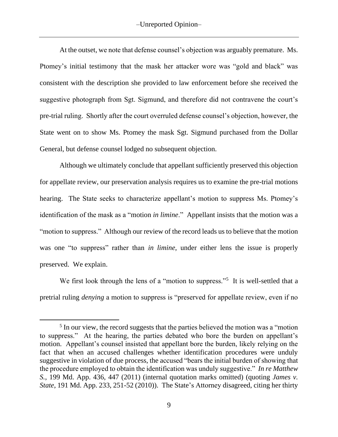At the outset, we note that defense counsel's objection was arguably premature. Ms. Ptomey's initial testimony that the mask her attacker wore was "gold and black" was consistent with the description she provided to law enforcement before she received the suggestive photograph from Sgt. Sigmund, and therefore did not contravene the court's pre-trial ruling. Shortly after the court overruled defense counsel's objection, however, the State went on to show Ms. Ptomey the mask Sgt. Sigmund purchased from the Dollar General, but defense counsel lodged no subsequent objection.

Although we ultimately conclude that appellant sufficiently preserved this objection for appellate review, our preservation analysis requires us to examine the pre-trial motions hearing. The State seeks to characterize appellant's motion to suppress Ms. Ptomey's identification of the mask as a "motion *in limine*." Appellant insists that the motion was a "motion to suppress." Although our review of the record leads us to believe that the motion was one "to suppress" rather than *in limine*, under either lens the issue is properly preserved. We explain.

We first look through the lens of a "motion to suppress."<sup>5</sup> It is well-settled that a pretrial ruling *denying* a motion to suppress is "preserved for appellate review, even if no

<sup>&</sup>lt;sup>5</sup> In our view, the record suggests that the parties believed the motion was a "motion" to suppress." At the hearing, the parties debated who bore the burden on appellant's motion. Appellant's counsel insisted that appellant bore the burden, likely relying on the fact that when an accused challenges whether identification procedures were unduly suggestive in violation of due process, the accused "bears the initial burden of showing that the procedure employed to obtain the identification was unduly suggestive." *In re Matthew S.*, 199 Md. App. 436, 447 (2011) (internal quotation marks omitted) (quoting *James v. State*, 191 Md. App. 233, 251-52 (2010)). The State's Attorney disagreed, citing her thirty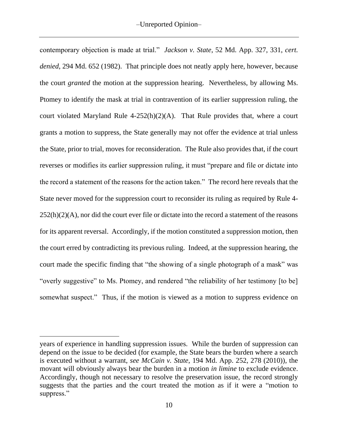contemporary objection is made at trial." *Jackson v. State*, 52 Md. App. 327, 331, *cert. denied*, 294 Md. 652 (1982). That principle does not neatly apply here, however, because the court *granted* the motion at the suppression hearing. Nevertheless, by allowing Ms. Ptomey to identify the mask at trial in contravention of its earlier suppression ruling, the court violated Maryland Rule 4-252(h)(2)(A). That Rule provides that, where a court grants a motion to suppress, the State generally may not offer the evidence at trial unless the State, prior to trial, moves for reconsideration. The Rule also provides that, if the court reverses or modifies its earlier suppression ruling, it must "prepare and file or dictate into the record a statement of the reasons for the action taken." The record here reveals that the State never moved for the suppression court to reconsider its ruling as required by Rule 4-  $252(h)(2)(A)$ , nor did the court ever file or dictate into the record a statement of the reasons for its apparent reversal. Accordingly, if the motion constituted a suppression motion, then the court erred by contradicting its previous ruling. Indeed, at the suppression hearing, the court made the specific finding that "the showing of a single photograph of a mask" was "overly suggestive" to Ms. Ptomey, and rendered "the reliability of her testimony [to be] somewhat suspect." Thus, if the motion is viewed as a motion to suppress evidence on

years of experience in handling suppression issues. While the burden of suppression can depend on the issue to be decided (for example, the State bears the burden where a search is executed without a warrant, *see McCain v. State*, 194 Md. App. 252, 278 (2010)), the movant will obviously always bear the burden in a motion *in limine* to exclude evidence. Accordingly, though not necessary to resolve the preservation issue, the record strongly suggests that the parties and the court treated the motion as if it were a "motion to suppress."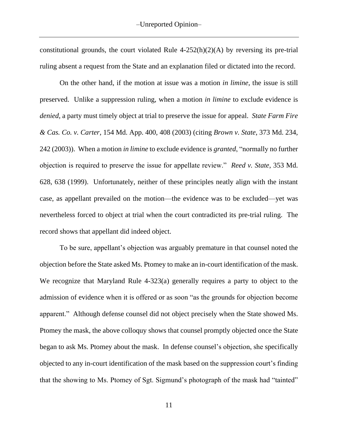constitutional grounds, the court violated Rule 4-252(h)(2)(A) by reversing its pre-trial ruling absent a request from the State and an explanation filed or dictated into the record.

On the other hand, if the motion at issue was a motion *in limine*, the issue is still preserved. Unlike a suppression ruling, when a motion *in limine* to exclude evidence is *denied*, a party must timely object at trial to preserve the issue for appeal. *State Farm Fire & Cas. Co. v. Carter*, 154 Md. App. 400, 408 (2003) (citing *Brown v. State*, 373 Md. 234, 242 (2003)). When a motion *in limine* to exclude evidence is *granted*, "normally no further objection is required to preserve the issue for appellate review." *Reed v. State*, 353 Md. 628, 638 (1999). Unfortunately, neither of these principles neatly align with the instant case, as appellant prevailed on the motion—the evidence was to be excluded—yet was nevertheless forced to object at trial when the court contradicted its pre-trial ruling. The record shows that appellant did indeed object.

To be sure, appellant's objection was arguably premature in that counsel noted the objection before the State asked Ms. Ptomey to make an in-court identification of the mask. We recognize that Maryland Rule 4-323(a) generally requires a party to object to the admission of evidence when it is offered or as soon "as the grounds for objection become apparent." Although defense counsel did not object precisely when the State showed Ms. Ptomey the mask, the above colloquy shows that counsel promptly objected once the State began to ask Ms. Ptomey about the mask. In defense counsel's objection, she specifically objected to any in-court identification of the mask based on the suppression court's finding that the showing to Ms. Ptomey of Sgt. Sigmund's photograph of the mask had "tainted"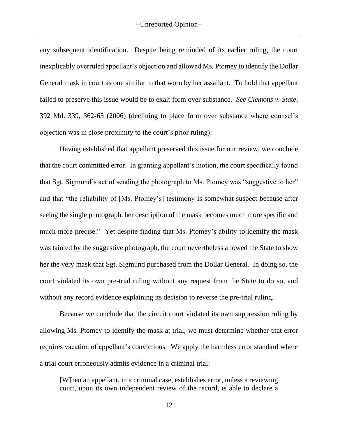any subsequent identification. Despite being reminded of its earlier ruling, the court inexplicably overruled appellant's objection and allowed Ms. Ptomey to identify the Dollar General mask in court as one similar to that worn by her assailant. To hold that appellant failed to preserve this issue would be to exalt form over substance. *See Clemons v. State*, 392 Md. 339, 362-63 (2006) (declining to place form over substance where counsel's objection was in close proximity to the court's prior ruling).

Having established that appellant preserved this issue for our review, we conclude that the court committed error. In granting appellant's motion, the court specifically found that Sgt. Sigmund's act of sending the photograph to Ms. Ptomey was "suggestive to her" and that "the reliability of [Ms. Ptomey's] testimony is somewhat suspect because after seeing the single photograph, her description of the mask becomes much more specific and much more precise." Yet despite finding that Ms. Ptomey's ability to identify the mask was tainted by the suggestive photograph, the court nevertheless allowed the State to show her the very mask that Sgt. Sigmund purchased from the Dollar General. In doing so, the court violated its own pre-trial ruling without any request from the State to do so, and without any record evidence explaining its decision to reverse the pre-trial ruling.

Because we conclude that the circuit court violated its own suppression ruling by allowing Ms. Ptomey to identify the mask at trial, we must determine whether that error requires vacation of appellant's convictions. We apply the harmless error standard where a trial court erroneously admits evidence in a criminal trial:

[W]hen an appellant, in a criminal case, establishes error, unless a reviewing court, upon its own independent review of the record, is able to declare a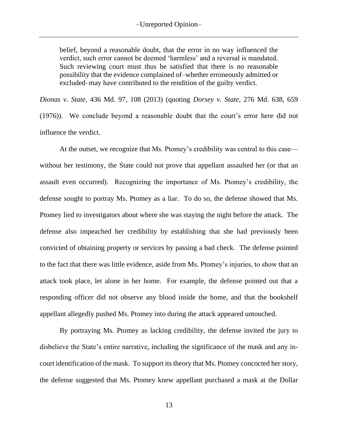belief, beyond a reasonable doubt, that the error in no way influenced the verdict, such error cannot be deemed 'harmless' and a reversal is mandated. Such reviewing court must thus be satisfied that there is no reasonable possibility that the evidence complained of–whether erroneously admitted or excluded–may have contributed to the rendition of the guilty verdict.

*Dionas v. State*, 436 Md. 97, 108 (2013) (quoting *Dorsey v. State*, 276 Md. 638, 659 (1976)). We conclude beyond a reasonable doubt that the court's error here did not influence the verdict.

At the outset, we recognize that Ms. Ptomey's credibility was central to this case without her testimony, the State could not prove that appellant assaulted her (or that an assault even occurred). Recognizing the importance of Ms. Ptomey's credibility, the defense sought to portray Ms. Ptomey as a liar. To do so, the defense showed that Ms. Ptomey lied to investigators about where she was staying the night before the attack. The defense also impeached her credibility by establishing that she had previously been convicted of obtaining property or services by passing a bad check. The defense pointed to the fact that there was little evidence, aside from Ms. Ptomey's injuries, to show that an attack took place, let alone in her home. For example, the defense pointed out that a responding officer did not observe any blood inside the home, and that the bookshelf appellant allegedly pushed Ms. Ptomey into during the attack appeared untouched.

By portraying Ms. Ptomey as lacking credibility, the defense invited the jury to disbelieve the State's entire narrative, including the significance of the mask and any incourt identification of the mask. To support its theory that Ms. Ptomey concocted her story, the defense suggested that Ms. Ptomey knew appellant purchased a mask at the Dollar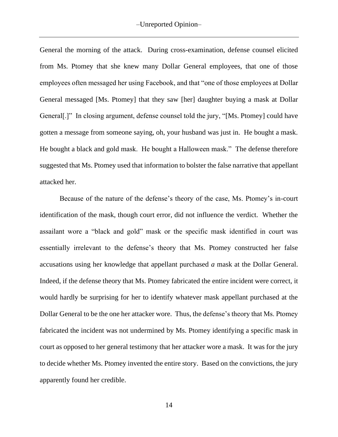General the morning of the attack. During cross-examination, defense counsel elicited from Ms. Ptomey that she knew many Dollar General employees, that one of those employees often messaged her using Facebook, and that "one of those employees at Dollar General messaged [Ms. Ptomey] that they saw [her] daughter buying a mask at Dollar General[.]" In closing argument, defense counsel told the jury, "[Ms. Ptomey] could have gotten a message from someone saying, oh, your husband was just in. He bought a mask. He bought a black and gold mask. He bought a Halloween mask." The defense therefore suggested that Ms. Ptomey used that information to bolster the false narrative that appellant attacked her.

Because of the nature of the defense's theory of the case, Ms. Ptomey's in-court identification of the mask, though court error, did not influence the verdict. Whether the assailant wore a "black and gold" mask or the specific mask identified in court was essentially irrelevant to the defense's theory that Ms. Ptomey constructed her false accusations using her knowledge that appellant purchased *a* mask at the Dollar General. Indeed, if the defense theory that Ms. Ptomey fabricated the entire incident were correct, it would hardly be surprising for her to identify whatever mask appellant purchased at the Dollar General to be the one her attacker wore. Thus, the defense's theory that Ms. Ptomey fabricated the incident was not undermined by Ms. Ptomey identifying a specific mask in court as opposed to her general testimony that her attacker wore a mask. It was for the jury to decide whether Ms. Ptomey invented the entire story. Based on the convictions, the jury apparently found her credible.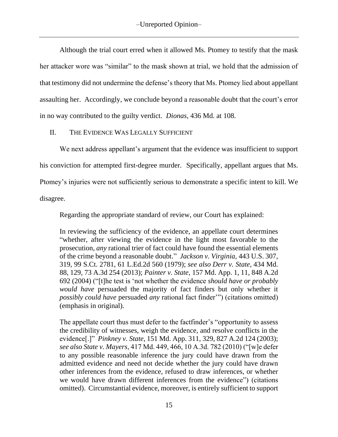Although the trial court erred when it allowed Ms. Ptomey to testify that the mask her attacker wore was "similar" to the mask shown at trial, we hold that the admission of that testimony did not undermine the defense's theory that Ms. Ptomey lied about appellant assaulting her. Accordingly, we conclude beyond a reasonable doubt that the court's error in no way contributed to the guilty verdict. *Dionas*, 436 Md. at 108.

## II. THE EVIDENCE WAS LEGALLY SUFFICIENT

We next address appellant's argument that the evidence was insufficient to support his conviction for attempted first-degree murder. Specifically, appellant argues that Ms. Ptomey's injuries were not sufficiently serious to demonstrate a specific intent to kill. We disagree.

Regarding the appropriate standard of review, our Court has explained:

In reviewing the sufficiency of the evidence, an appellate court determines "whether, after viewing the evidence in the light most favorable to the prosecution, *any* rational trier of fact could have found the essential elements of the crime beyond a reasonable doubt." *Jackson v. Virginia*, 443 U.S. 307, 319, 99 S.Ct. 2781, 61 L.Ed.2d 560 (1979); *see also Derr v. State*, 434 Md. 88, 129, 73 A.3d 254 (2013); *Painter v. State*, 157 Md. App. 1, 11, 848 A.2d 692 (2004) ("[t]he test is 'not whether the evidence *should have or probably would have* persuaded the majority of fact finders but only whether it *possibly could have* persuaded *any* rational fact finder'") (citations omitted) (emphasis in original).

The appellate court thus must defer to the factfinder's "opportunity to assess the credibility of witnesses, weigh the evidence, and resolve conflicts in the evidence[.]" *Pinkney v. State*, 151 Md. App. 311, 329, 827 A.2d 124 (2003); *see also State v. Mayers*, 417 Md. 449, 466, 10 A.3d. 782 (2010) ("[w]e defer to any possible reasonable inference the jury could have drawn from the admitted evidence and need not decide whether the jury could have drawn other inferences from the evidence, refused to draw inferences, or whether we would have drawn different inferences from the evidence") (citations omitted). Circumstantial evidence, moreover, is entirely sufficient to support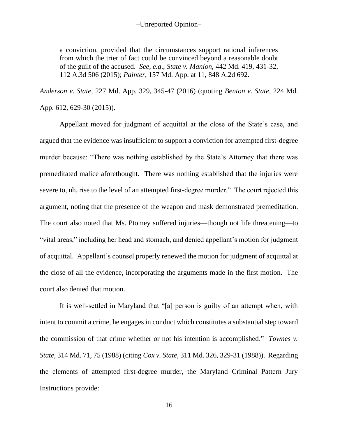a conviction, provided that the circumstances support rational inferences from which the trier of fact could be convinced beyond a reasonable doubt of the guilt of the accused. *See, e.g*., *State v. Manion*, 442 Md. 419, 431-32, 112 A.3d 506 (2015); *Painter*, 157 Md. App. at 11, 848 A.2d 692.

*Anderson v. State*, 227 Md. App. 329, 345-47 (2016) (quoting *Benton v. State*, 224 Md. App. 612, 629-30 (2015)).

Appellant moved for judgment of acquittal at the close of the State's case, and argued that the evidence was insufficient to support a conviction for attempted first-degree murder because: "There was nothing established by the State's Attorney that there was premeditated malice aforethought. There was nothing established that the injuries were severe to, uh, rise to the level of an attempted first-degree murder." The court rejected this argument, noting that the presence of the weapon and mask demonstrated premeditation. The court also noted that Ms. Ptomey suffered injuries—though not life threatening—to "vital areas," including her head and stomach, and denied appellant's motion for judgment of acquittal. Appellant's counsel properly renewed the motion for judgment of acquittal at the close of all the evidence, incorporating the arguments made in the first motion. The court also denied that motion.

It is well-settled in Maryland that "[a] person is guilty of an attempt when, with intent to commit a crime, he engages in conduct which constitutes a substantial step toward the commission of that crime whether or not his intention is accomplished." *Townes v. State*, 314 Md. 71, 75 (1988) (citing *Cox v. State*, 311 Md. 326, 329-31 (1988)). Regarding the elements of attempted first-degree murder, the Maryland Criminal Pattern Jury Instructions provide: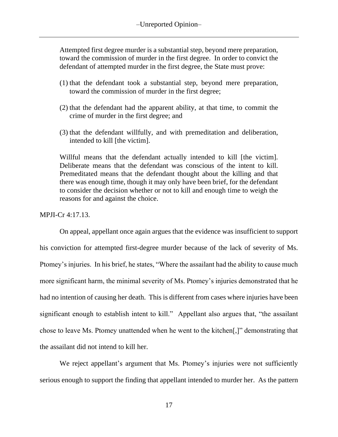Attempted first degree murder is a substantial step, beyond mere preparation, toward the commission of murder in the first degree. In order to convict the defendant of attempted murder in the first degree, the State must prove:

- (1) that the defendant took a substantial step, beyond mere preparation, toward the commission of murder in the first degree;
- (2) that the defendant had the apparent ability, at that time, to commit the crime of murder in the first degree; and
- (3) that the defendant willfully, and with premeditation and deliberation, intended to kill [the victim].

Willful means that the defendant actually intended to kill [the victim]. Deliberate means that the defendant was conscious of the intent to kill. Premeditated means that the defendant thought about the killing and that there was enough time, though it may only have been brief, for the defendant to consider the decision whether or not to kill and enough time to weigh the reasons for and against the choice.

### MPJI-Cr 4:17.13.

On appeal, appellant once again argues that the evidence was insufficient to support his conviction for attempted first-degree murder because of the lack of severity of Ms. Ptomey's injuries. In his brief, he states, "Where the assailant had the ability to cause much more significant harm, the minimal severity of Ms. Ptomey's injuries demonstrated that he had no intention of causing her death. This is different from cases where injuries have been significant enough to establish intent to kill." Appellant also argues that, "the assailant chose to leave Ms. Ptomey unattended when he went to the kitchen[,]" demonstrating that the assailant did not intend to kill her.

We reject appellant's argument that Ms. Ptomey's injuries were not sufficiently serious enough to support the finding that appellant intended to murder her. As the pattern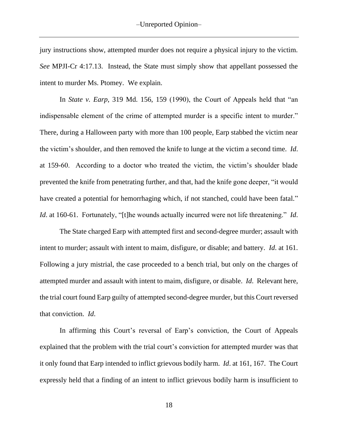jury instructions show, attempted murder does not require a physical injury to the victim. *See* MPJI-Cr 4:17.13. Instead, the State must simply show that appellant possessed the intent to murder Ms. Ptomey. We explain.

In *State v. Earp*, 319 Md. 156, 159 (1990), the Court of Appeals held that "an indispensable element of the crime of attempted murder is a specific intent to murder." There, during a Halloween party with more than 100 people, Earp stabbed the victim near the victim's shoulder, and then removed the knife to lunge at the victim a second time. *Id*. at 159-60. According to a doctor who treated the victim, the victim's shoulder blade prevented the knife from penetrating further, and that, had the knife gone deeper, "it would have created a potential for hemorrhaging which, if not stanched, could have been fatal." *Id*. at 160-61. Fortunately, "[t]he wounds actually incurred were not life threatening." *Id*.

The State charged Earp with attempted first and second-degree murder; assault with intent to murder; assault with intent to maim, disfigure, or disable; and battery. *Id*. at 161. Following a jury mistrial, the case proceeded to a bench trial, but only on the charges of attempted murder and assault with intent to maim, disfigure, or disable. *Id*. Relevant here, the trial court found Earp guilty of attempted second-degree murder, but this Court reversed that conviction. *Id*.

In affirming this Court's reversal of Earp's conviction, the Court of Appeals explained that the problem with the trial court's conviction for attempted murder was that it only found that Earp intended to inflict grievous bodily harm. *Id*. at 161, 167. The Court expressly held that a finding of an intent to inflict grievous bodily harm is insufficient to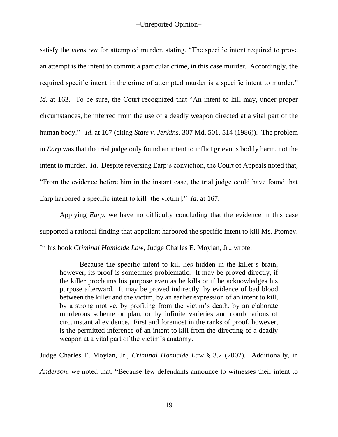satisfy the *mens rea* for attempted murder, stating, "The specific intent required to prove an attempt is the intent to commit a particular crime, in this case murder. Accordingly, the required specific intent in the crime of attempted murder is a specific intent to murder." *Id.* at 163. To be sure, the Court recognized that "An intent to kill may, under proper circumstances, be inferred from the use of a deadly weapon directed at a vital part of the human body." *Id*. at 167 (citing *State v. Jenkins*, 307 Md. 501, 514 (1986)). The problem in *Earp* was that the trial judge only found an intent to inflict grievous bodily harm, not the intent to murder. *Id*. Despite reversing Earp's conviction, the Court of Appeals noted that, "From the evidence before him in the instant case, the trial judge could have found that Earp harbored a specific intent to kill [the victim]." *Id*. at 167.

Applying *Earp*, we have no difficulty concluding that the evidence in this case supported a rational finding that appellant harbored the specific intent to kill Ms. Ptomey. In his book *Criminal Homicide Law*, Judge Charles E. Moylan, Jr., wrote:

Because the specific intent to kill lies hidden in the killer's brain, however, its proof is sometimes problematic. It may be proved directly, if the killer proclaims his purpose even as he kills or if he acknowledges his purpose afterward. It may be proved indirectly, by evidence of bad blood between the killer and the victim, by an earlier expression of an intent to kill, by a strong motive, by profiting from the victim's death, by an elaborate murderous scheme or plan, or by infinite varieties and combinations of circumstantial evidence. First and foremost in the ranks of proof, however, is the permitted inference of an intent to kill from the directing of a deadly weapon at a vital part of the victim's anatomy.

Judge Charles E. Moylan, Jr., *Criminal Homicide Law* § 3.2 (2002). Additionally, in

*Anderson*, we noted that, "Because few defendants announce to witnesses their intent to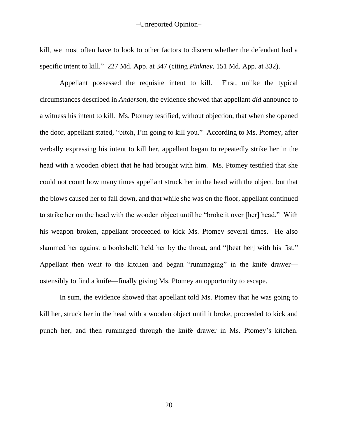kill, we most often have to look to other factors to discern whether the defendant had a specific intent to kill." 227 Md. App. at 347 (citing *Pinkney*, 151 Md. App. at 332).

Appellant possessed the requisite intent to kill. First, unlike the typical circumstances described in *Anderson*, the evidence showed that appellant *did* announce to a witness his intent to kill. Ms. Ptomey testified, without objection, that when she opened the door, appellant stated, "bitch, I'm going to kill you." According to Ms. Ptomey, after verbally expressing his intent to kill her, appellant began to repeatedly strike her in the head with a wooden object that he had brought with him. Ms. Ptomey testified that she could not count how many times appellant struck her in the head with the object, but that the blows caused her to fall down, and that while she was on the floor, appellant continued to strike her on the head with the wooden object until he "broke it over [her] head." With his weapon broken, appellant proceeded to kick Ms. Ptomey several times. He also slammed her against a bookshelf, held her by the throat, and "[beat her] with his fist." Appellant then went to the kitchen and began "rummaging" in the knife drawer ostensibly to find a knife—finally giving Ms. Ptomey an opportunity to escape.

In sum, the evidence showed that appellant told Ms. Ptomey that he was going to kill her, struck her in the head with a wooden object until it broke, proceeded to kick and punch her, and then rummaged through the knife drawer in Ms. Ptomey's kitchen.